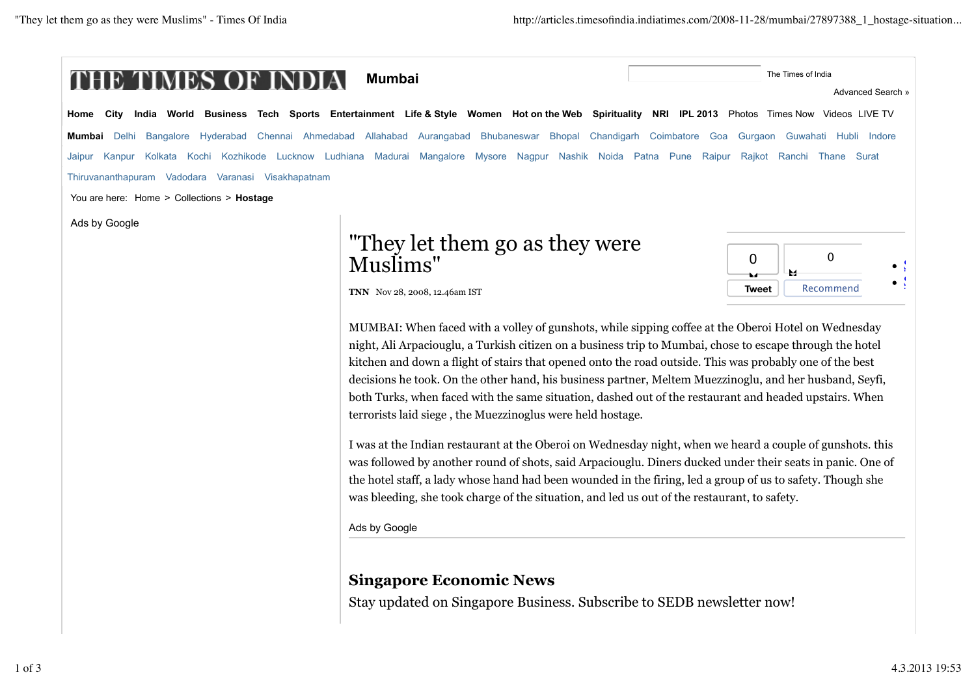

Stay updated on Singapore Business. Subscribe to SEDB newsletter now!